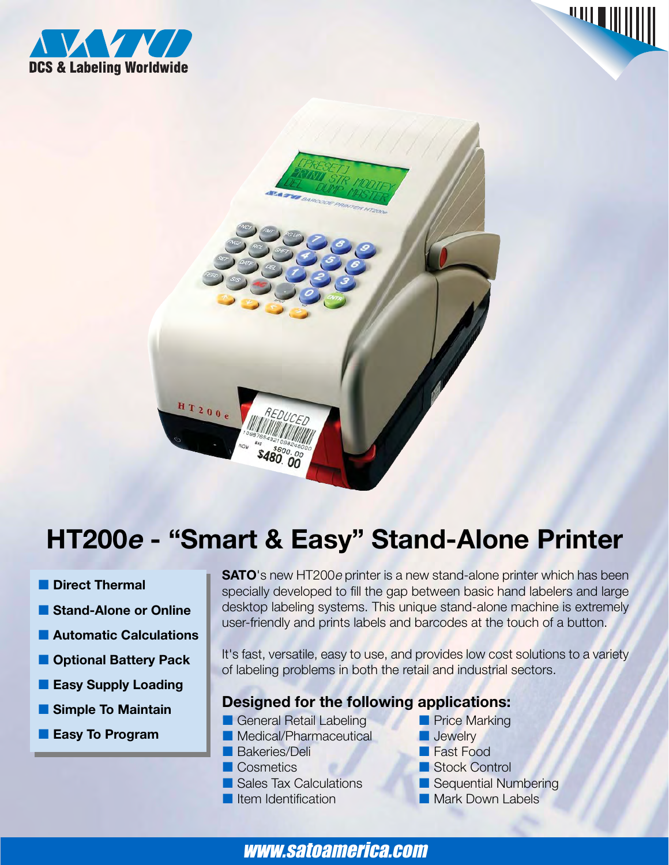





# **HT200<sup>e</sup> - "Smart & Easy" Stand-Alone Printer**

- $\blacksquare$  Direct Thermal
- **E** Stand-Alone or Online
- $\blacksquare$  **Automatic Calculations**
- $\blacksquare$  **Optional Battery Pack**
- **Easy Supply Loading**
- **E** Simple To Maintain
- **Easy To Program**

**SATO**'s new HT200*e* printer is a new stand-alone printer which has been specially developed to fill the gap between basic hand labelers and large desktop labeling systems. This unique stand-alone machine is extremely user-friendly and prints labels and barcodes at the touch of a button.

It's fast, versatile, easy to use, and provides low cost solutions to a variety of labeling problems in both the retail and industrial sectors.

# **Designed for the following applications:**

- **E** General Retail Labeling
- **A** Medical/Pharmaceutical
- **Bakeries/Deli Bakeries**
- **Executive Cosmetics Cosmetics**
- **B** Sales Tax Calculations
- **Externe Identification CONSUMING THE INC.**
- **Price Marking**
- **Jewelry**
- **Fast Food**
- Stock Control
- Sequential Numbering
	- **Mark Down Labels**

www.satoamerica.com